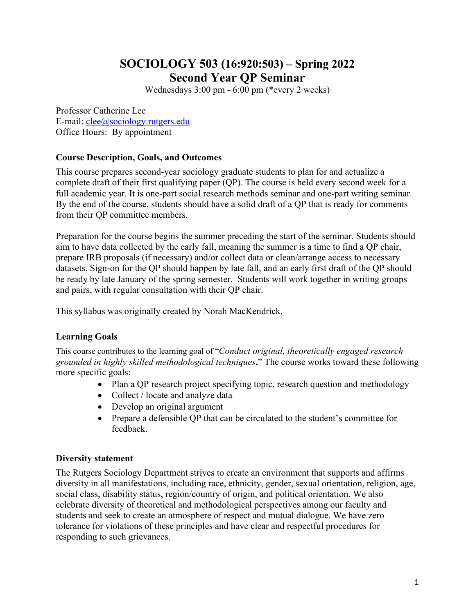## **SOCIOLOGY 503 (16:920:503) – Spring 2022 Second Year QP Seminar**

Wednesdays 3:00 pm - 6:00 pm (\*every 2 weeks)

Professor Catherine Lee E-mail: clee@sociology.rutgers.edu Office Hours: By appointment

### **Course Description, Goals, and Outcomes**

This course prepares second-year sociology graduate students to plan for and actualize a complete draft of their first qualifying paper (QP). The course is held every second week for a full academic year. It is one-part social research methods seminar and one-part writing seminar. By the end of the course, students should have a solid draft of a QP that is ready for comments from their QP committee members.

Preparation for the course begins the summer preceding the start of the seminar. Students should aim to have data collected by the early fall, meaning the summer is a time to find a QP chair, prepare IRB proposals (if necessary) and/or collect data or clean/arrange access to necessary datasets. Sign-on for the QP should happen by late fall, and an early first draft of the QP should be ready by late January of the spring semester. Students will work together in writing groups and pairs, with regular consultation with their QP chair.

This syllabus was originally created by Norah MacKendrick.

### **Learning Goals**

This course contributes to the learning goal of "*Conduct original, theoretically engaged research grounded in highly skilled methodological techniques***.**" The course works toward these following more specific goals:

- Plan a QP research project specifying topic, research question and methodology
- Collect / locate and analyze data
- Develop an original argument
- Prepare a defensible QP that can be circulated to the student's committee for feedback.

#### **Diversity statement**

The Rutgers Sociology Department strives to create an environment that supports and affirms diversity in all manifestations, including race, ethnicity, gender, sexual orientation, religion, age, social class, disability status, region/country of origin, and political orientation. We also celebrate diversity of theoretical and methodological perspectives among our faculty and students and seek to create an atmosphere of respect and mutual dialogue. We have zero tolerance for violations of these principles and have clear and respectful procedures for responding to such grievances.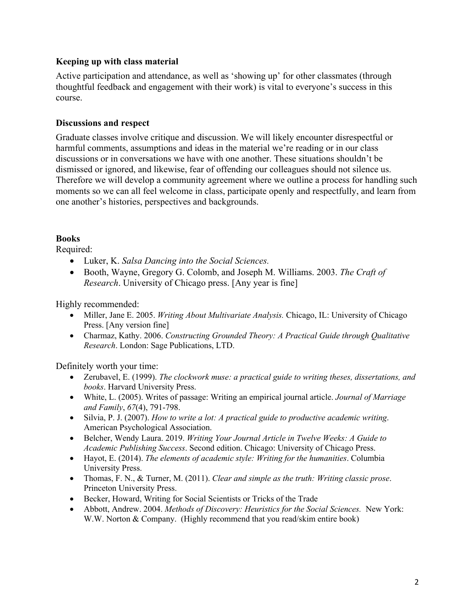### **Keeping up with class material**

Active participation and attendance, as well as 'showing up' for other classmates (through thoughtful feedback and engagement with their work) is vital to everyone's success in this course.

#### **Discussions and respect**

Graduate classes involve critique and discussion. We will likely encounter disrespectful or harmful comments, assumptions and ideas in the material we're reading or in our class discussions or in conversations we have with one another. These situations shouldn't be dismissed or ignored, and likewise, fear of offending our colleagues should not silence us. Therefore we will develop a community agreement where we outline a process for handling such moments so we can all feel welcome in class, participate openly and respectfully, and learn from one another's histories, perspectives and backgrounds.

#### **Books**

Required:

- Luker, K. *Salsa Dancing into the Social Sciences.*
- Booth, Wayne, Gregory G. Colomb, and Joseph M. Williams. 2003. *The Craft of Research*. University of Chicago press. [Any year is fine]

Highly recommended:

- Miller, Jane E. 2005. *Writing About Multivariate Analysis*. Chicago, IL: University of Chicago Press. [Any version fine]
- Charmaz, Kathy. 2006. *Constructing Grounded Theory: A Practical Guide through Qualitative Research*. London: Sage Publications, LTD.

Definitely worth your time:

- Zerubavel, E. (1999). *The clockwork muse: a practical guide to writing theses, dissertations, and books*. Harvard University Press.
- White, L. (2005). Writes of passage: Writing an empirical journal article. *Journal of Marriage and Family*, *67*(4), 791-798.
- Silvia, P. J. (2007). *How to write a lot: A practical guide to productive academic writing*. American Psychological Association.
- Belcher, Wendy Laura. 2019. *Writing Your Journal Article in Twelve Weeks: A Guide to Academic Publishing Success*. Second edition. Chicago: University of Chicago Press.
- Hayot, E. (2014). *The elements of academic style: Writing for the humanities*. Columbia University Press.
- Thomas, F. N., & Turner, M. (2011). *Clear and simple as the truth: Writing classic prose*. Princeton University Press.
- Becker, Howard, Writing for Social Scientists or Tricks of the Trade
- Abbott, Andrew. 2004. *Methods of Discovery: Heuristics for the Social Sciences.* New York: W.W. Norton & Company. (Highly recommend that you read/skim entire book)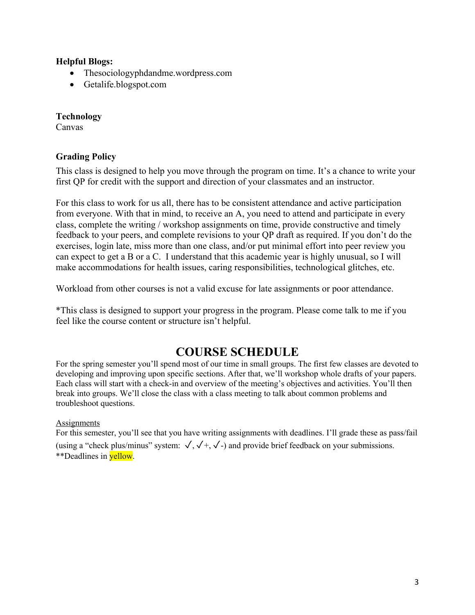#### **Helpful Blogs:**

- Thesociologyphdandme.wordpress.com
- Getalife.blogspot.com

### **Technology**

Canvas

### **Grading Policy**

This class is designed to help you move through the program on time. It's a chance to write your first QP for credit with the support and direction of your classmates and an instructor.

For this class to work for us all, there has to be consistent attendance and active participation from everyone. With that in mind, to receive an A, you need to attend and participate in every class, complete the writing / workshop assignments on time, provide constructive and timely feedback to your peers, and complete revisions to your QP draft as required. If you don't do the exercises, login late, miss more than one class, and/or put minimal effort into peer review you can expect to get a B or a C. I understand that this academic year is highly unusual, so I will make accommodations for health issues, caring responsibilities, technological glitches, etc.

Workload from other courses is not a valid excuse for late assignments or poor attendance.

\*This class is designed to support your progress in the program. Please come talk to me if you feel like the course content or structure isn't helpful.

## **COURSE SCHEDULE**

For the spring semester you'll spend most of our time in small groups. The first few classes are devoted to developing and improving upon specific sections. After that, we'll workshop whole drafts of your papers. Each class will start with a check-in and overview of the meeting's objectives and activities. You'll then break into groups. We'll close the class with a class meeting to talk about common problems and troubleshoot questions.

#### **Assignments**

For this semester, you'll see that you have writing assignments with deadlines. I'll grade these as pass/fail (using a "check plus/minus" system:  $\sqrt{,} \sqrt{+,} \sqrt{=}$ ) and provide brief feedback on your submissions. \*\*Deadlines in **yellow**.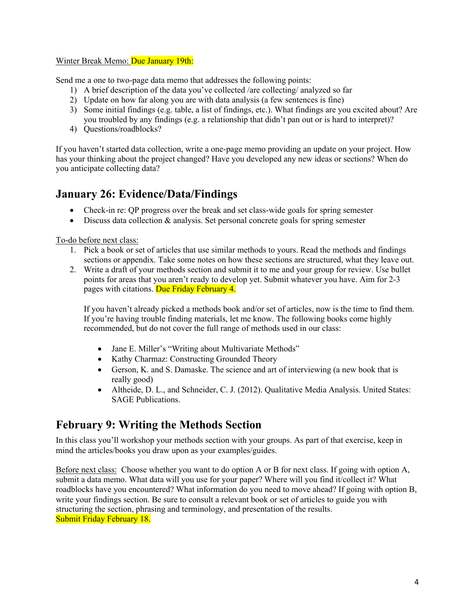#### Winter Break Memo: Due January 19th:

Send me a one to two-page data memo that addresses the following points:

- 1) A brief description of the data you've collected /are collecting/ analyzed so far
- 2) Update on how far along you are with data analysis (a few sentences is fine)
- 3) Some initial findings (e.g. table, a list of findings, etc.). What findings are you excited about? Are you troubled by any findings (e.g. a relationship that didn't pan out or is hard to interpret)?
- 4) Questions/roadblocks?

If you haven't started data collection, write a one-page memo providing an update on your project. How has your thinking about the project changed? Have you developed any new ideas or sections? When do you anticipate collecting data?

## **January 26: Evidence/Data/Findings**

- Check-in re: OP progress over the break and set class-wide goals for spring semester
- Discuss data collection  $\&$  analysis. Set personal concrete goals for spring semester

To-do before next class:

- 1. Pick a book or set of articles that use similar methods to yours. Read the methods and findings sections or appendix. Take some notes on how these sections are structured, what they leave out.
- 2. Write a draft of your methods section and submit it to me and your group for review. Use bullet points for areas that you aren't ready to develop yet. Submit whatever you have. Aim for 2-3 pages with citations. Due Friday February 4.

If you haven't already picked a methods book and/or set of articles, now is the time to find them. If you're having trouble finding materials, let me know. The following books come highly recommended, but do not cover the full range of methods used in our class:

- Jane E. Miller's "Writing about Multivariate Methods"
- Kathy Charmaz: Constructing Grounded Theory
- Gerson, K. and S. Damaske. The science and art of interviewing (a new book that is really good)
- Altheide, D. L., and Schneider, C. J. (2012). Qualitative Media Analysis. United States: SAGE Publications.

## **February 9: Writing the Methods Section**

In this class you'll workshop your methods section with your groups. As part of that exercise, keep in mind the articles/books you draw upon as your examples/guides.

Before next class: Choose whether you want to do option A or B for next class. If going with option A, submit a data memo. What data will you use for your paper? Where will you find it/collect it? What roadblocks have you encountered? What information do you need to move ahead? If going with option B, write your findings section. Be sure to consult a relevant book or set of articles to guide you with structuring the section, phrasing and terminology, and presentation of the results. Submit Friday February 18.